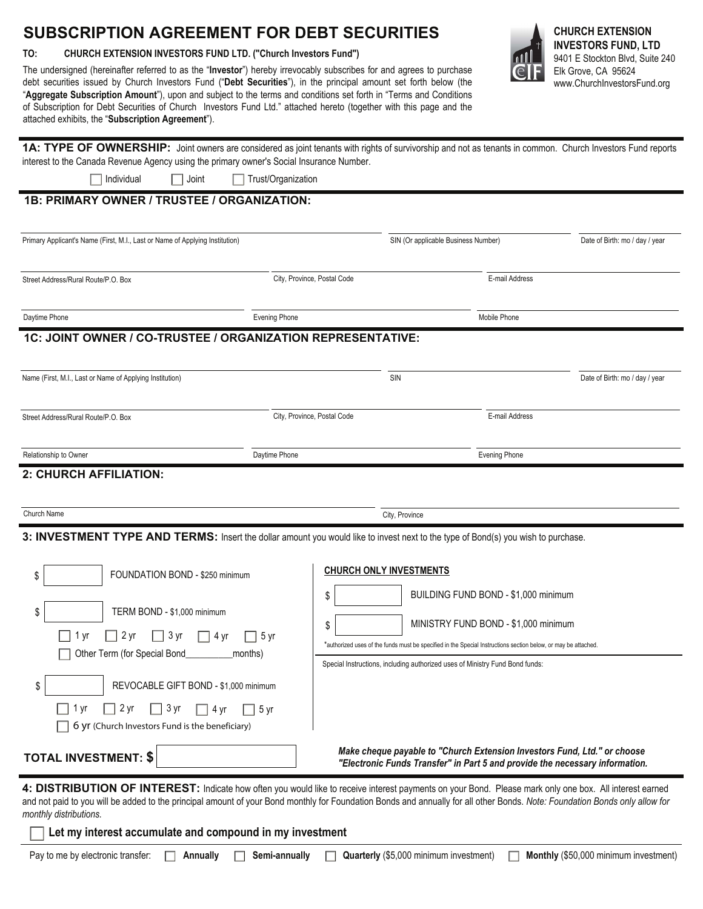## **SUBSCRIPTION AGREEMENT FOR DEBT SECURITIES**

**TO: CHURCH EXTENSION INVESTORS FUND LTD. ("Church Investors Fund")** 

The undersigned (hereinafter referred to as the "**Investor**") hereby irrevocably subscribes for and agrees to purchase debt securities issued by Church Investors Fund ("**Debt Securities**"), in the principal amount set forth below (the "**Aggregate Subscription Amount**"), upon and subject to the terms and conditions set forth in "Terms and Conditions of Subscription for Debt Securities of Church Investors Fund Ltd." attached hereto (together with this page and the attached exhibits, the "**Subscription Agreement**").



**INVESTORS FUND, LTD**  9401 E Stockton Blvd, Suite 240 Elk Grove, CA 95624 www.ChurchInvestorsFund.org

| 1A: TYPE OF OWNERSHIP: Joint owners are considered as joint tenants with rights of survivorship and not as tenants in common. Church Investors Fund reports |  |
|-------------------------------------------------------------------------------------------------------------------------------------------------------------|--|
| interest to the Canada Revenue Agency using the primary owner's Social Insurance Number.                                                                    |  |

Individual Joint Trust/Organization

## **1B: PRIMARY OWNER / TRUSTEE / ORGANIZATION:**

| Primary Applicant's Name (First, M.I., Last or Name of Applying Institution)                                                      |                             |                                | SIN (Or applicable Business Number)                                                                                                                                                            | Date of Birth: mo / day / year |
|-----------------------------------------------------------------------------------------------------------------------------------|-----------------------------|--------------------------------|------------------------------------------------------------------------------------------------------------------------------------------------------------------------------------------------|--------------------------------|
| Street Address/Rural Route/P.O. Box                                                                                               | City, Province, Postal Code |                                | E-mail Address                                                                                                                                                                                 |                                |
| Daytime Phone                                                                                                                     | <b>Evening Phone</b>        |                                | Mobile Phone                                                                                                                                                                                   |                                |
| 1C: JOINT OWNER / CO-TRUSTEE / ORGANIZATION REPRESENTATIVE:                                                                       |                             |                                |                                                                                                                                                                                                |                                |
| Name (First, M.I., Last or Name of Applying Institution)                                                                          |                             | SIN                            |                                                                                                                                                                                                | Date of Birth: mo / day / year |
| Street Address/Rural Route/P.O. Box                                                                                               | City, Province, Postal Code |                                | E-mail Address                                                                                                                                                                                 |                                |
| Relationship to Owner                                                                                                             | Daytime Phone               |                                | <b>Evening Phone</b>                                                                                                                                                                           |                                |
| 2: CHURCH AFFILIATION:                                                                                                            |                             |                                |                                                                                                                                                                                                |                                |
| Church Name                                                                                                                       |                             | City, Province                 |                                                                                                                                                                                                |                                |
| 3: INVESTMENT TYPE AND TERMS: Insert the dollar amount you would like to invest next to the type of Bond(s) you wish to purchase. |                             |                                |                                                                                                                                                                                                |                                |
| FOUNDATION BOND - \$250 minimum<br>\$                                                                                             |                             | <b>CHURCH ONLY INVESTMENTS</b> | BUILDING FUND BOND - \$1,000 minimum                                                                                                                                                           |                                |
| TERM BOND - \$1,000 minimum<br>\$<br>2 yr<br>3 yr<br>1 yr<br>4 yr<br>5 yr<br>Other Term (for Special Bond<br>months)              | \$<br>\$                    |                                | MINISTRY FUND BOND - \$1,000 minimum                                                                                                                                                           |                                |
|                                                                                                                                   |                             |                                | *authorized uses of the funds must be specified in the Special Instructions section below, or may be attached.<br>Special Instructions, including authorized uses of Ministry Fund Bond funds: |                                |
| REVOCABLE GIFT BOND - \$1,000 minimum<br>S                                                                                        |                             |                                |                                                                                                                                                                                                |                                |

**TOTAL INVESTMENT: \$** *Make cheque payable to "Church Extension Investors Fund, Ltd." or choose "Electronic Funds Transfer" in Part 5 and provide the necessary information.*

4: DISTRIBUTION OF INTEREST: Indicate how often you would like to receive interest payments on your Bond. Please mark only one box. All interest earned and not paid to you will be added to the principal amount of your Bond monthly for Foundation Bonds and annually for all other Bonds. *Note: Foundation Bonds only allow for monthly distributions.*

**Let my interest accumulate and compound in my investment**

 $\Box$  1 yr  $\Box$  2 yr  $\Box$  3 yr  $\Box$  4 yr  $\Box$  5 yr 6 yr (Church Investors Fund is the beneficiary)

Pay to me by electronic transfer: **Annually Semi-annually Quarterly** (\$5,000 minimum investment) **Monthly** (\$50,000 minimum investment)